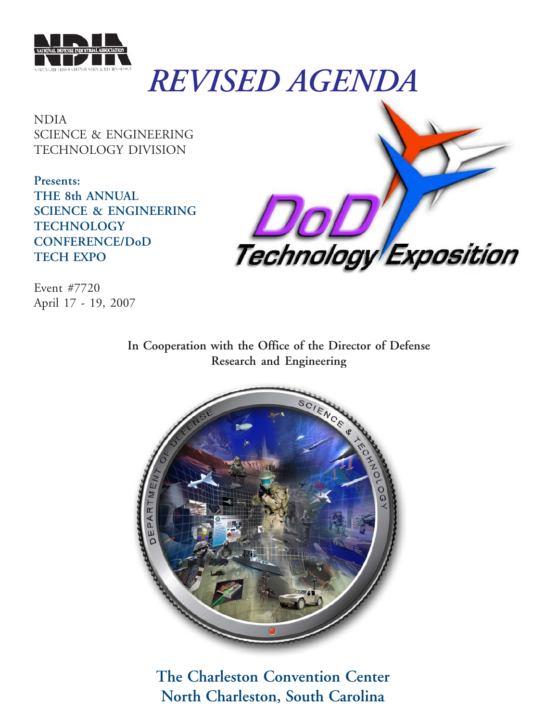

# *REVISED AGENDA*

NDIA SCIENCE & ENGINEERING TECHNOLOGY DIVISION

**Presents: THE 8th ANNUAL SCIENCE & ENGINEERING TECHNOLOGY CONFERENCE/DoD TECH EXPO**



Event #7720 April 17 - 19, 2007

> **In Cooperation with the Office of the Director of Defense Research and Engineering**



**The Charleston Convention Center North Charleston, South Carolina**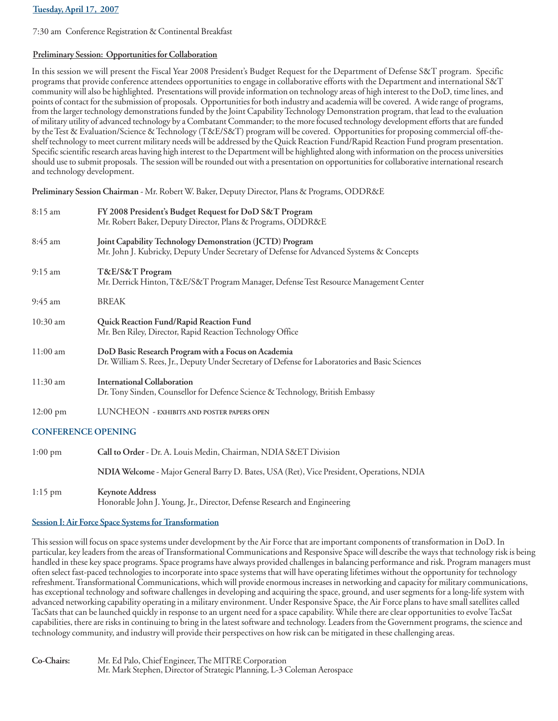# **Tuesday, April 17, 2007**

7:30 am Conference Registration & Continental Breakfast

# **Preliminary Session: Opportunities for Collaboration**

In this session we will present the Fiscal Year 2008 President's Budget Request for the Department of Defense S&T program. Specific programs that provide conference attendees opportunities to engage in collaborative efforts with the Department and international S&T community will also be highlighted. Presentations will provide information on technology areas of high interest to the DoD, time lines, and points of contact for the submission of proposals. Opportunities for both industry and academia will be covered. A wide range of programs, from the larger technology demonstrations funded by the Joint Capability Technology Demonstration program, that lead to the evaluation of military utility of advanced technology by a Combatant Commander; to the more focused technology development efforts that are funded by the Test & Evaluation/Science & Technology (T&E/S&T) program will be covered. Opportunities for proposing commercial off-theshelf technology to meet current military needs will be addressed by the Quick Reaction Fund/Rapid Reaction Fund program presentation. Specific scientific research areas having high interest to the Department will be highlighted along with information on the process universities should use to submit proposals. The session will be rounded out with a presentation on opportunities for collaborative international research and technology development.

**Preliminary Session Chairman** - Mr. Robert W. Baker, Deputy Director, Plans & Programs, ODDR&E

| $8:15 \text{ am}$         | FY 2008 President's Budget Request for DoD S&T Program<br>Mr. Robert Baker, Deputy Director, Plans & Programs, ODDR&E                                  |
|---------------------------|--------------------------------------------------------------------------------------------------------------------------------------------------------|
| 8:45 am                   | Joint Capability Technology Demonstration (JCTD) Program<br>Mr. John J. Kubricky, Deputy Under Secretary of Defense for Advanced Systems & Concepts    |
| $9:15$ am                 | T&E/S&T Program<br>Mr. Derrick Hinton, T&E/S&T Program Manager, Defense Test Resource Management Center                                                |
| 9:45 am                   | <b>BREAK</b>                                                                                                                                           |
| $10:30$ am                | Quick Reaction Fund/Rapid Reaction Fund<br>Mr. Ben Riley, Director, Rapid Reaction Technology Office                                                   |
| 11:00 am                  | DoD Basic Research Program with a Focus on Academia<br>Dr. William S. Rees, Jr., Deputy Under Secretary of Defense for Laboratories and Basic Sciences |
| $11:30$ am                | <b>International Collaboration</b><br>Dr. Tony Sinden, Counsellor for Defence Science & Technology, British Embassy                                    |
| $12:00 \text{ pm}$        | LUNCHEON - EXHIBITS AND POSTER PAPERS OPEN                                                                                                             |
| <b>CONFERENCE OPENING</b> |                                                                                                                                                        |
| $1:00$ pm                 | Call to Order - Dr. A. Louis Medin, Chairman, NDIA S&ET Division                                                                                       |
|                           | NDIA Welcome - Major General Barry D. Bates, USA (Ret), Vice President, Operations, NDIA                                                               |

1:15 pm **Keynote Address** Honorable John J. Young, Jr., Director, Defense Research and Engineering

# **Session I: Air Force Space Systems for Transformation**

This session will focus on space systems under development by the Air Force that are important components of transformation in DoD. In particular, key leaders from the areas of Transformational Communications and Responsive Space will describe the ways that technology risk is being handled in these key space programs. Space programs have always provided challenges in balancing performance and risk. Program managers must often select fast-paced technologies to incorporate into space systems that will have operating lifetimes without the opportunity for technology refreshment. Transformational Communications, which will provide enormous increases in networking and capacity for military communications, has exceptional technology and software challenges in developing and acquiring the space, ground, and user segments for a long-life system with advanced networking capability operating in a military environment. Under Responsive Space, the Air Force plans to have small satellites called TacSats that can be launched quickly in response to an urgent need for a space capability. While there are clear opportunities to evolve TacSat capabilities, there are risks in continuing to bring in the latest software and technology. Leaders from the Government programs, the science and technology community, and industry will provide their perspectives on how risk can be mitigated in these challenging areas.

**Co-Chairs:** Mr. Ed Palo, Chief Engineer, The MITRE Corporation Mr. Mark Stephen, Director of Strategic Planning, L-3 Coleman Aerospace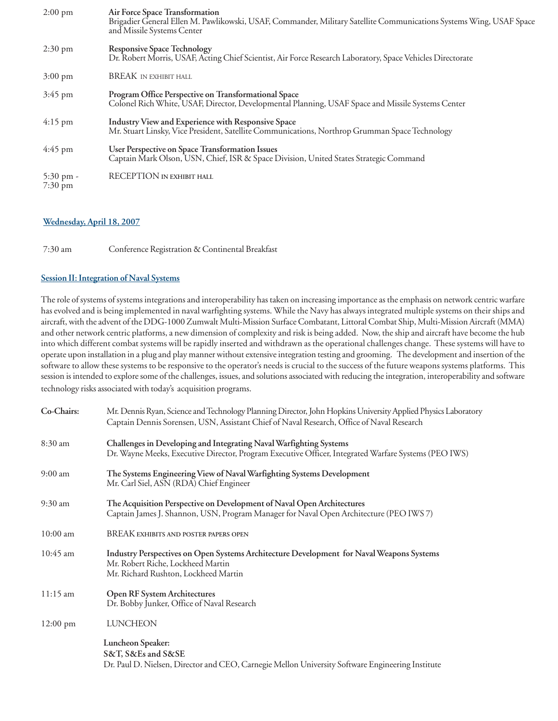| $2:00 \text{ pm}$              | Air Force Space Transformation<br>Brigadier General Ellen M. Pawlikowski, USAF, Commander, Military Satellite Communications Systems Wing, USAF Space<br>and Missile Systems Center |
|--------------------------------|-------------------------------------------------------------------------------------------------------------------------------------------------------------------------------------|
| $2:30 \text{ pm}$              | <b>Responsive Space Technology</b><br>Dr. Robert Morris, USAF, Acting Chief Scientist, Air Force Research Laboratory, Space Vehicles Directorate                                    |
| $3:00 \text{ pm}$              | <b>BREAK IN EXHIBIT HALL</b>                                                                                                                                                        |
| $3:45$ pm                      | Program Office Perspective on Transformational Space<br>Colonel Rich White, USAF, Director, Developmental Planning, USAF Space and Missile Systems Center                           |
| $4:15$ pm                      | Industry View and Experience with Responsive Space<br>Mr. Stuart Linsky, Vice President, Satellite Communications, Northrop Grumman Space Technology                                |
| $4:45$ pm                      | User Perspective on Space Transformation Issues<br>Captain Mark Olson, USN, Chief, ISR & Space Division, United States Strategic Command                                            |
| 5:30 pm -<br>$7:30 \text{ pm}$ | RECEPTION IN EXHIBIT HALL                                                                                                                                                           |

# **Wednesday, April 18, 2007**

7:30 am Conference Registration & Continental Breakfast

# **Session II: Integration of Naval Systems**

The role of systems of systems integrations and interoperability has taken on increasing importance as the emphasis on network centric warfare has evolved and is being implemented in naval warfighting systems. While the Navy has always integrated multiple systems on their ships and aircraft, with the advent of the DDG-1000 Zumwalt Multi-Mission Surface Combatant, Littoral Combat Ship, Multi-Mission Aircraft (MMA) and other network centric platforms, a new dimension of complexity and risk is being added. Now, the ship and aircraft have become the hub into which different combat systems will be rapidly inserted and withdrawn as the operational challenges change. These systems will have to operate upon installation in a plug and play manner without extensive integration testing and grooming. The development and insertion of the software to allow these systems to be responsive to the operator's needs is crucial to the success of the future weapons systems platforms. This session is intended to explore some of the challenges, issues, and solutions associated with reducing the integration, interoperability and software technology risks associated with today's acquisition programs.

| Co-Chairs:         | Mr. Dennis Ryan, Science and Technology Planning Director, John Hopkins University Applied Physics Laboratory<br>Captain Dennis Sorensen, USN, Assistant Chief of Naval Research, Office of Naval Research |
|--------------------|------------------------------------------------------------------------------------------------------------------------------------------------------------------------------------------------------------|
| 8:30 am            | Challenges in Developing and Integrating Naval Warfighting Systems<br>Dr. Wayne Meeks, Executive Director, Program Executive Officer, Integrated Warfare Systems (PEO IWS)                                 |
| 9:00 am            | The Systems Engineering View of Naval Warfighting Systems Development<br>Mr. Carl Siel, ASN (RDA) Chief Engineer                                                                                           |
| $9:30 \text{ am}$  | The Acquisition Perspective on Development of Naval Open Architectures<br>Captain James J. Shannon, USN, Program Manager for Naval Open Architecture (PEO IWS 7)                                           |
| $10:00$ am         | <b>BREAK EXHIBITS AND POSTER PAPERS OPEN</b>                                                                                                                                                               |
| $10:45$ am         | Industry Perspectives on Open Systems Architecture Development for Naval Weapons Systems<br>Mr. Robert Riche, Lockheed Martin<br>Mr. Richard Rushton, Lockheed Martin                                      |
| $11:15 \text{ am}$ | <b>Open RF System Architectures</b><br>Dr. Bobby Junker, Office of Naval Research                                                                                                                          |
| $12:00 \text{ pm}$ | <b>LUNCHEON</b>                                                                                                                                                                                            |
|                    | Luncheon Speaker:<br>S&T, S&Es and S&SE<br>Dr. Paul D. Nielsen, Director and CEO, Carnegie Mellon University Software Engineering Institute                                                                |